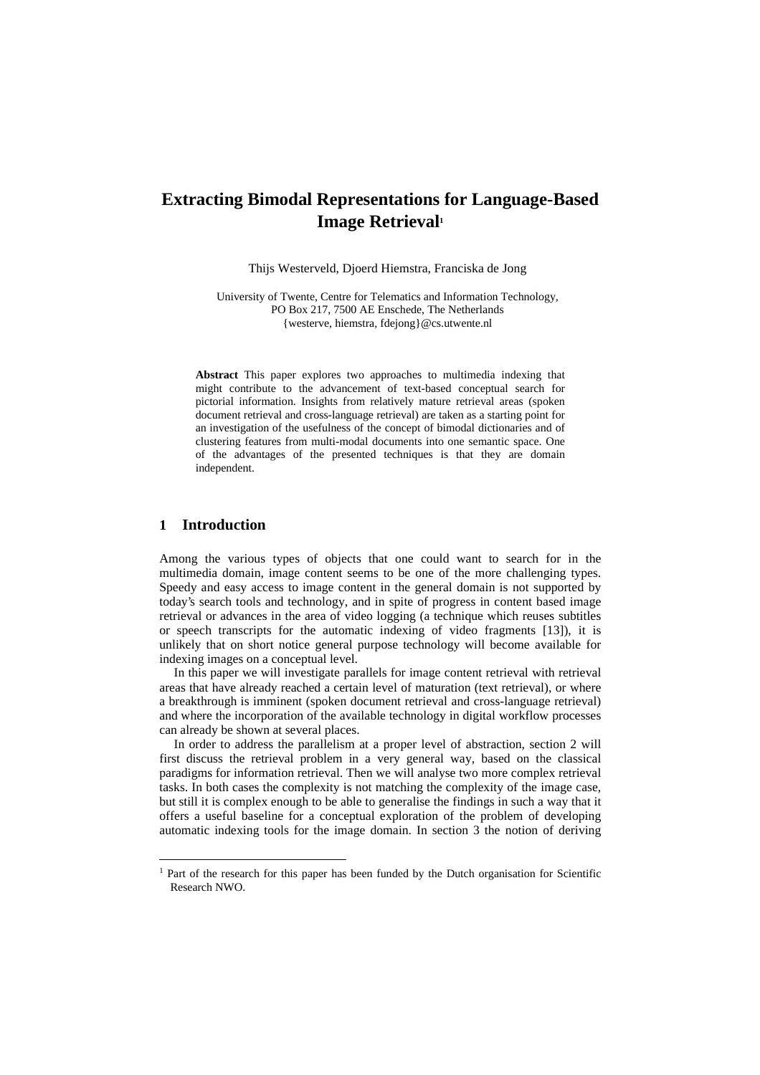# **Extracting Bimodal Representations for Language-Based Image Retrieval<sup>1</sup>**

Thijs Westerveld, Djoerd Hiemstra, Franciska de Jong

University of Twente, Centre for Telematics and Information Technology, PO Box 217, 7500 AE Enschede, The Netherlands {westerve, hiemstra, fdejong}@cs.utwente.nl

**Abstract** This paper explores two approaches to multimedia indexing that might contribute to the advancement of text-based conceptual search for pictorial information. Insights from relatively mature retrieval areas (spoken document retrieval and cross-language retrieval) are taken as a starting point for an investigation of the usefulness of the concept of bimodal dictionaries and of clustering features from multi-modal documents into one semantic space. One of the advantages of the presented techniques is that they are domain independent.

# **1 Introduction**

-

Among the various types of objects that one could want to search for in the multimedia domain, image content seems to be one of the more challenging types. Speedy and easy access to image content in the general domain is not supported by today's search tools and technology, and in spite of progress in content based image retrieval or advances in the area of video logging (a technique which reuses subtitles or speech transcripts for the automatic indexing of video fragments [13]), it is unlikely that on short notice general purpose technology will become available for indexing images on a conceptual level.

In this paper we will investigate parallels for image content retrieval with retrieval areas that have already reached a certain level of maturation (text retrieval), or where a breakthrough is imminent (spoken document retrieval and cross-language retrieval) and where the incorporation of the available technology in digital workflow processes can already be shown at several places.

In order to address the parallelism at a proper level of abstraction, section 2 will first discuss the retrieval problem in a very general way, based on the classical paradigms for information retrieval. Then we will analyse two more complex retrieval tasks. In both cases the complexity is not matching the complexity of the image case, but still it is complex enough to be able to generalise the findings in such a way that it offers a useful baseline for a conceptual exploration of the problem of developing automatic indexing tools for the image domain. In section 3 the notion of deriving

<sup>&</sup>lt;sup>1</sup> Part of the research for this paper has been funded by the Dutch organisation for Scientific Research NWO.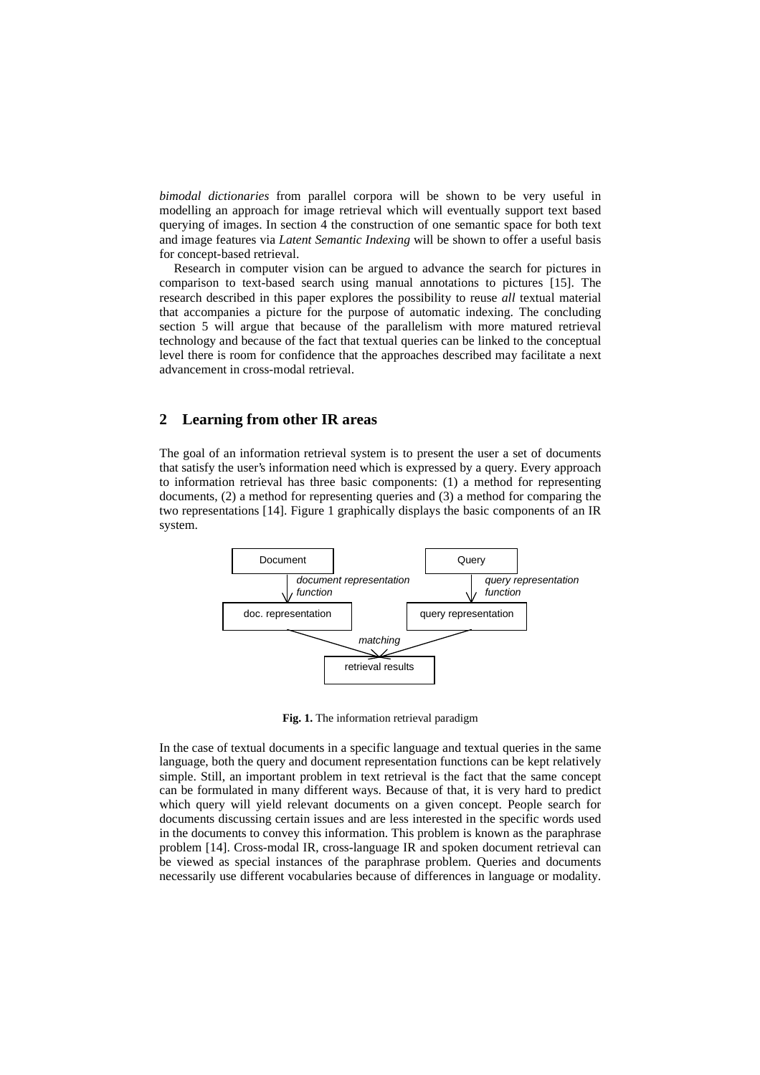*bimodal dictionaries* from parallel corpora will be shown to be very useful in modelling an approach for image retrieval which will eventually support text based querying of images. In section 4 the construction of one semantic space for both text and image features via *Latent Semantic Indexing* will be shown to offer a useful basis for concept-based retrieval.

Research in computer vision can be argued to advance the search for pictures in comparison to text-based search using manual annotations to pictures [15]. The research described in this paper explores the possibility to reuse *all* textual material that accompanies a picture for the purpose of automatic indexing. The concluding section 5 will argue that because of the parallelism with more matured retrieval technology and because of the fact that textual queries can be linked to the conceptual level there is room for confidence that the approaches described may facilitate a next advancement in cross-modal retrieval.

# **2 Learning from other IR areas**

The goal of an information retrieval system is to present the user a set of documents that satisfy the user's information need which is expressed by a query. Every approach to information retrieval has three basic components: (1) a method for representing documents, (2) a method for representing queries and (3) a method for comparing the two representations [14]. Figure 1 graphically displays the basic components of an IR system.



**Fig. 1.** The information retrieval paradigm

In the case of textual documents in a specific language and textual queries in the same language, both the query and document representation functions can be kept relatively simple. Still, an important problem in text retrieval is the fact that the same concept can be formulated in many different ways. Because of that, it is very hard to predict which query will yield relevant documents on a given concept. People search for documents discussing certain issues and are less interested in the specific words used in the documents to convey this information. This problem is known as the paraphrase problem [14]. Cross-modal IR, cross-language IR and spoken document retrieval can be viewed as special instances of the paraphrase problem. Queries and documents necessarily use different vocabularies because of differences in language or modality.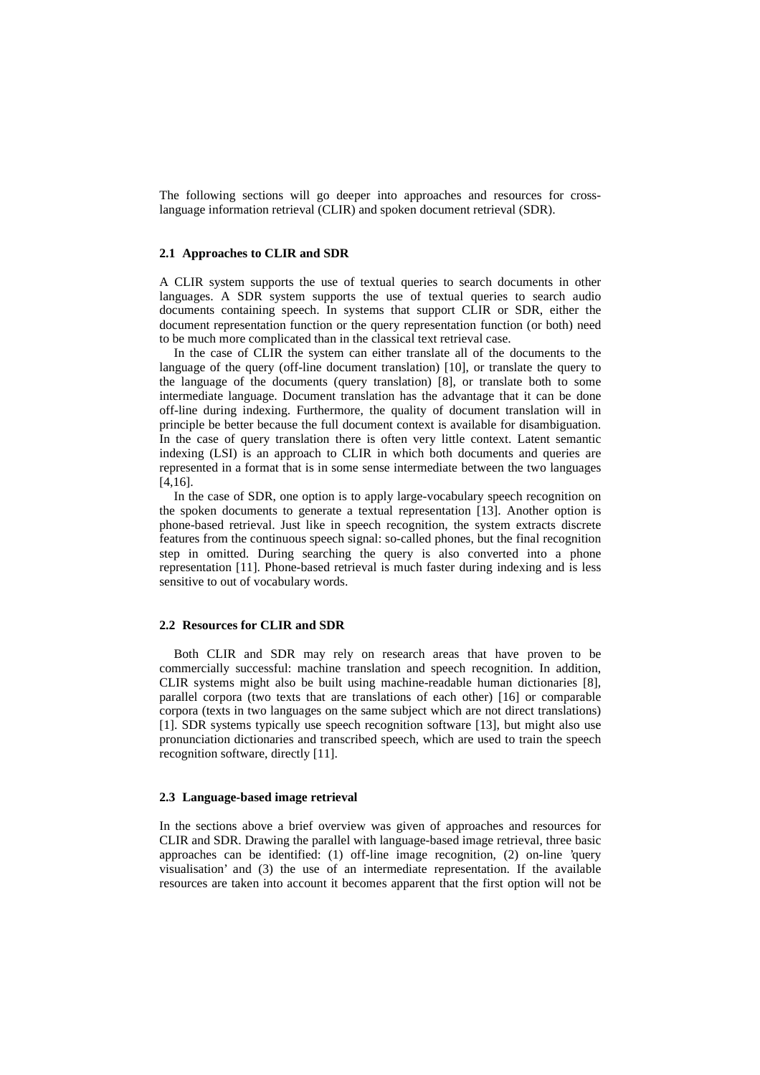The following sections will go deeper into approaches and resources for crosslanguage information retrieval (CLIR) and spoken document retrieval (SDR).

### **2.1 Approaches to CLIR and SDR**

A CLIR system supports the use of textual queries to search documents in other languages. A SDR system supports the use of textual queries to search audio documents containing speech. In systems that support CLIR or SDR, either the document representation function or the query representation function (or both) need to be much more complicated than in the classical text retrieval case.

In the case of CLIR the system can either translate all of the documents to the language of the query (off-line document translation) [10], or translate the query to the language of the documents (query translation) [8], or translate both to some intermediate language. Document translation has the advantage that it can be done off-line during indexing. Furthermore, the quality of document translation will in principle be better because the full document context is available for disambiguation. In the case of query translation there is often very little context. Latent semantic indexing (LSI) is an approach to CLIR in which both documents and queries are represented in a format that is in some sense intermediate between the two languages [4,16].

In the case of SDR, one option is to apply large-vocabulary speech recognition on the spoken documents to generate a textual representation [13]. Another option is phone-based retrieval. Just like in speech recognition, the system extracts discrete features from the continuous speech signal: so-called phones, but the final recognition step in omitted. During searching the query is also converted into a phone representation [11]. Phone-based retrieval is much faster during indexing and is less sensitive to out of vocabulary words.

### **2.2 Resources for CLIR and SDR**

Both CLIR and SDR may rely on research areas that have proven to be commercially successful: machine translation and speech recognition. In addition, CLIR systems might also be built using machine-readable human dictionaries [8], parallel corpora (two texts that are translations of each other) [16] or comparable corpora (texts in two languages on the same subject which are not direct translations) [1]. SDR systems typically use speech recognition software [13], but might also use pronunciation dictionaries and transcribed speech, which are used to train the speech recognition software, directly [11].

#### **2.3 Language-based image retrieval**

In the sections above a brief overview was given of approaches and resources for CLIR and SDR. Drawing the parallel with language-based image retrieval, three basic approaches can be identified: (1) off-line image recognition, (2) on-line 'query visualisation' and (3) the use of an intermediate representation. If the available resources are taken into account it becomes apparent that the first option will not be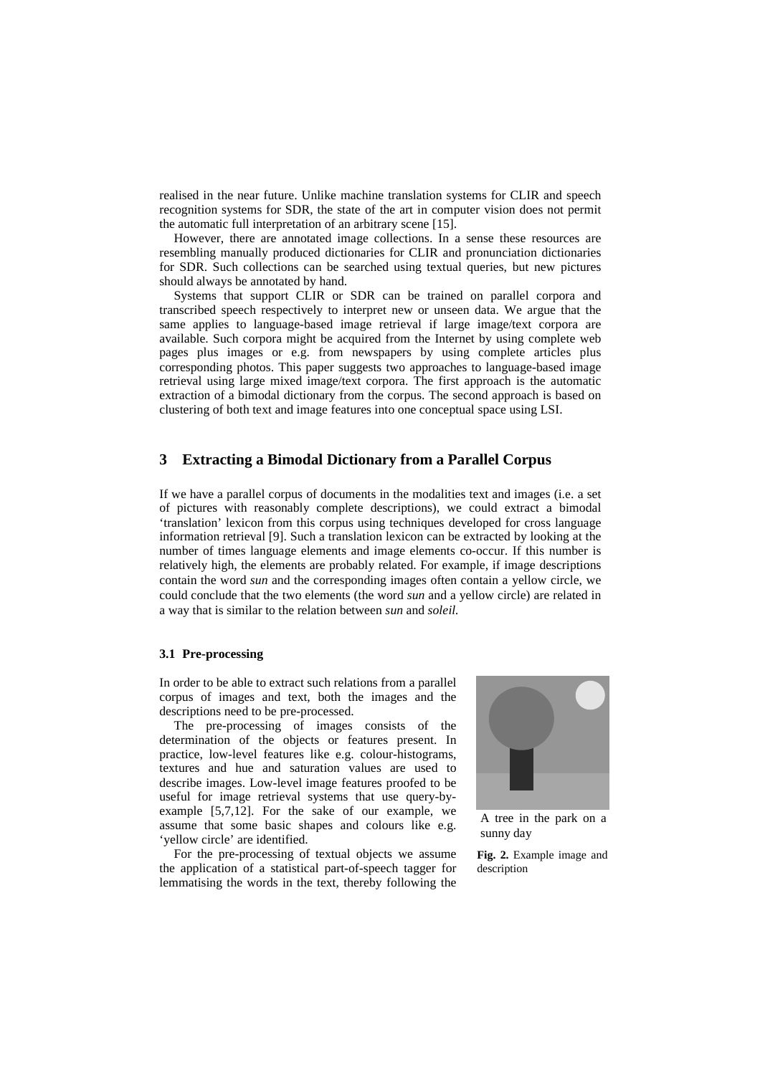realised in the near future. Unlike machine translation systems for CLIR and speech recognition systems for SDR, the state of the art in computer vision does not permit the automatic full interpretation of an arbitrary scene [15].

However, there are annotated image collections. In a sense these resources are resembling manually produced dictionaries for CLIR and pronunciation dictionaries for SDR. Such collections can be searched using textual queries, but new pictures should always be annotated by hand.

Systems that support CLIR or SDR can be trained on parallel corpora and transcribed speech respectively to interpret new or unseen data. We argue that the same applies to language-based image retrieval if large image/text corpora are available. Such corpora might be acquired from the Internet by using complete web pages plus images or e.g. from newspapers by using complete articles plus corresponding photos. This paper suggests two approaches to language-based image retrieval using large mixed image/text corpora. The first approach is the automatic extraction of a bimodal dictionary from the corpus. The second approach is based on clustering of both text and image features into one conceptual space using LSI.

# **3 Extracting a Bimodal Dictionary from a Parallel Corpus**

If we have a parallel corpus of documents in the modalities text and images (i.e. a set of pictures with reasonably complete descriptions), we could extract a bimodal 'translation' lexicon from this corpus using techniques developed for cross language information retrieval [9]. Such a translation lexicon can be extracted by looking at the number of times language elements and image elements co-occur. If this number is relatively high, the elements are probably related. For example, if image descriptions contain the word *sun* and the corresponding images often contain a yellow circle, we could conclude that the two elements (the word *sun* and a yellow circle) are related in a way that is similar to the relation between *sun* and *soleil.*

### **3.1 Pre-processing**

In order to be able to extract such relations from a parallel corpus of images and text, both the images and the descriptions need to be pre-processed.

The pre-processing of images consists of the determination of the objects or features present. In practice, low-level features like e.g. colour-histograms, textures and hue and saturation values are used to describe images. Low-level image features proofed to be useful for image retrieval systems that use query-byexample [5,7,12]. For the sake of our example, we assume that some basic shapes and colours like e.g. 'yellow circle' are identified.

For the pre-processing of textual objects we assume the application of a statistical part-of-speech tagger for lemmatising the words in the text, thereby following the



A tree in the park on a sunny day

**Fig. 2.** Example image and description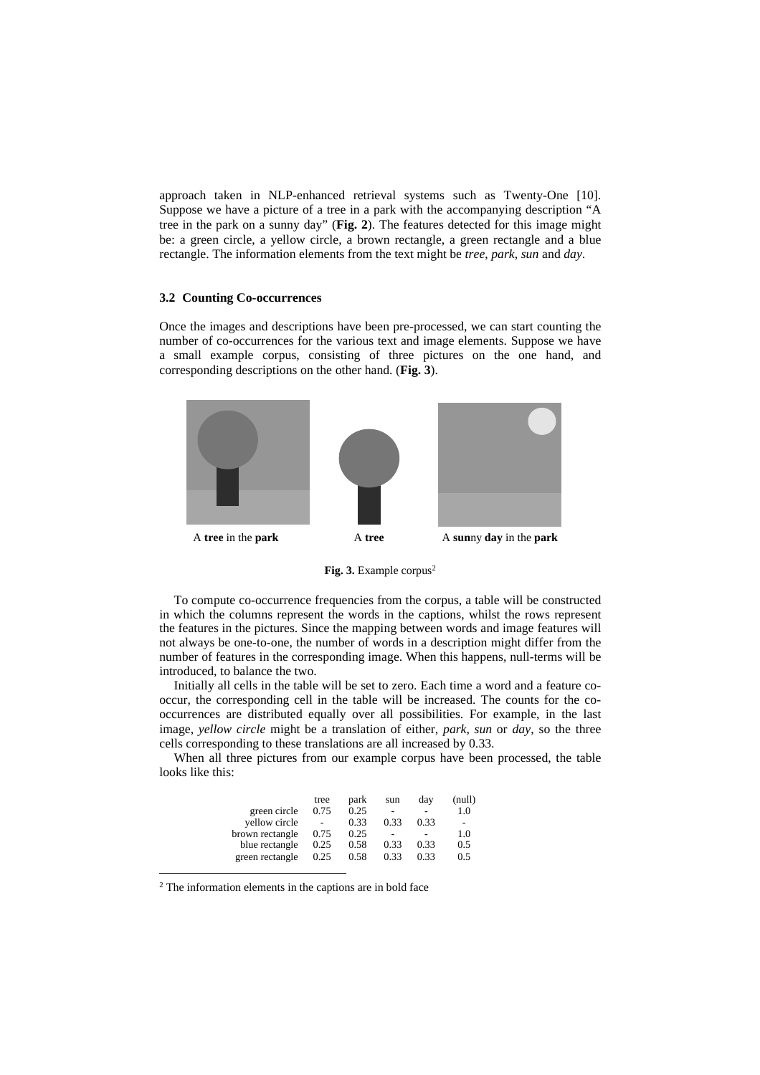approach taken in NLP-enhanced retrieval systems such as Twenty-One [10]. Suppose we have a picture of a tree in a park with the accompanying description "A tree in the park on a sunny day" (**Fig. 2**). The features detected for this image might be: a green circle, a yellow circle, a brown rectangle, a green rectangle and a blue rectangle. The information elements from the text might be *tree*, *park*, *sun* and *day*.

#### **3.2 Counting Co-occurrences**

Once the images and descriptions have been pre-processed, we can start counting the number of co-occurrences for the various text and image elements. Suppose we have a small example corpus, consisting of three pictures on the one hand, and corresponding descriptions on the other hand. (**Fig. 3**).



Fig. 3. Example corpus<sup>2</sup>

To compute co-occurrence frequencies from the corpus, a table will be constructed in which the columns represent the words in the captions, whilst the rows represent the features in the pictures. Since the mapping between words and image features will not always be one-to-one, the number of words in a description might differ from the number of features in the corresponding image. When this happens, null-terms will be introduced, to balance the two.

Initially all cells in the table will be set to zero. Each time a word and a feature cooccur, the corresponding cell in the table will be increased. The counts for the cooccurrences are distributed equally over all possibilities. For example, in the last image, *yellow circle* might be a translation of either, *park*, *sun* or *day*, so the three cells corresponding to these translations are all increased by 0.33.

When all three pictures from our example corpus have been processed, the table looks like this:

| tree | park | sun  | dav  | (null) |
|------|------|------|------|--------|
| 0.75 | 0.25 |      |      | 1.0    |
|      | 0.33 | 0.33 | 0.33 | ٠      |
| 0.75 | 0.25 |      |      | 1.0    |
| 0.25 | 0.58 | 0.33 | 0.33 | 0.5    |
| 0.25 | 0.58 | 0.33 | 0.33 | 0.5    |
|      |      |      |      |        |

<sup>2</sup> The information elements in the captions are in bold face

-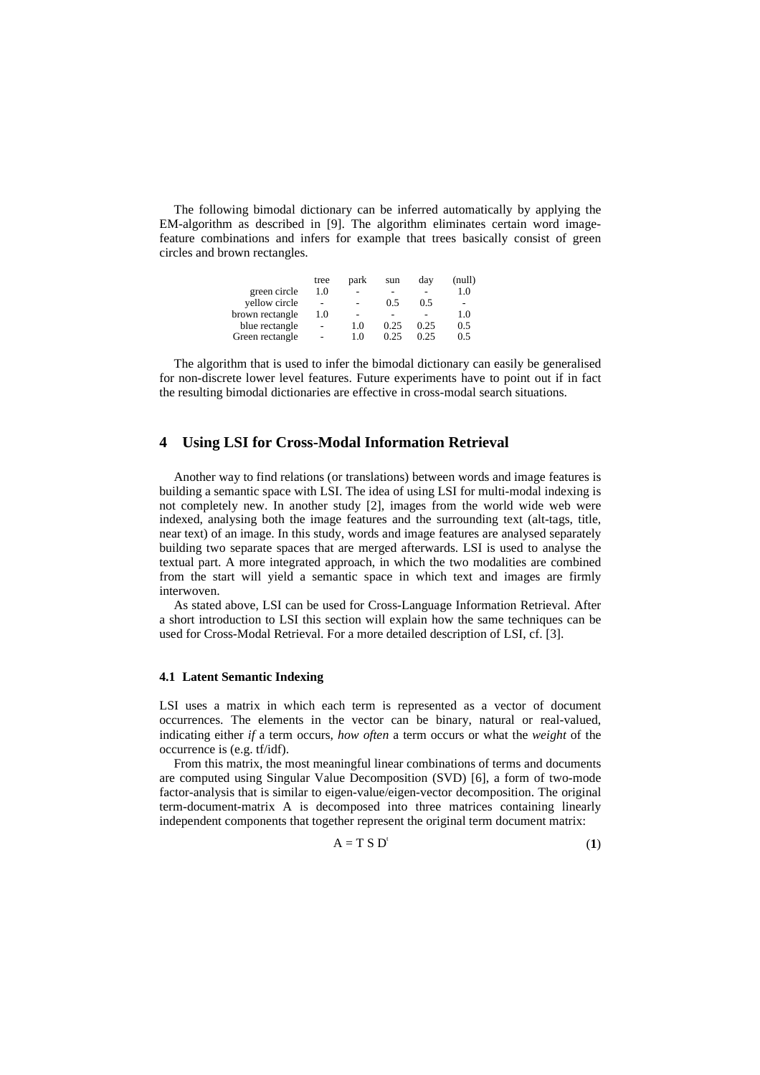The following bimodal dictionary can be inferred automatically by applying the EM-algorithm as described in [9]. The algorithm eliminates certain word imagefeature combinations and infers for example that trees basically consist of green circles and brown rectangles.

|                 | tree | park | sun  | day  | (null) |
|-----------------|------|------|------|------|--------|
| green circle    | 1.0  |      |      |      | 1.0    |
| yellow circle   |      |      | 0.5  | 0.5  |        |
| brown rectangle | 1.0  |      |      |      | 1.0    |
| blue rectangle  |      | 1.0  | 0.25 | 0.25 | 0.5    |
| Green rectangle |      | 10   | 0.25 | 0.25 | 0.5    |

The algorithm that is used to infer the bimodal dictionary can easily be generalised for non-discrete lower level features. Future experiments have to point out if in fact the resulting bimodal dictionaries are effective in cross-modal search situations.

# **4 Using LSI for Cross-Modal Information Retrieval**

Another way to find relations (or translations) between words and image features is building a semantic space with LSI. The idea of using LSI for multi-modal indexing is not completely new. In another study [2], images from the world wide web were indexed, analysing both the image features and the surrounding text (alt-tags, title, near text) of an image. In this study, words and image features are analysed separately building two separate spaces that are merged afterwards. LSI is used to analyse the textual part. A more integrated approach, in which the two modalities are combined from the start will yield a semantic space in which text and images are firmly interwoven.

As stated above, LSI can be used for Cross-Language Information Retrieval. After a short introduction to LSI this section will explain how the same techniques can be used for Cross-Modal Retrieval. For a more detailed description of LSI, cf. [3].

#### **4.1 Latent Semantic Indexing**

LSI uses a matrix in which each term is represented as a vector of document occurrences. The elements in the vector can be binary, natural or real-valued, indicating either *if* a term occurs, *how often* a term occurs or what the *weight* of the occurrence is (e.g. tf/idf).

From this matrix, the most meaningful linear combinations of terms and documents are computed using Singular Value Decomposition (SVD) [6], a form of two-mode factor-analysis that is similar to eigen-value/eigen-vector decomposition. The original term-document-matrix A is decomposed into three matrices containing linearly independent components that together represent the original term document matrix:

$$
A = T S Dt
$$
 (1)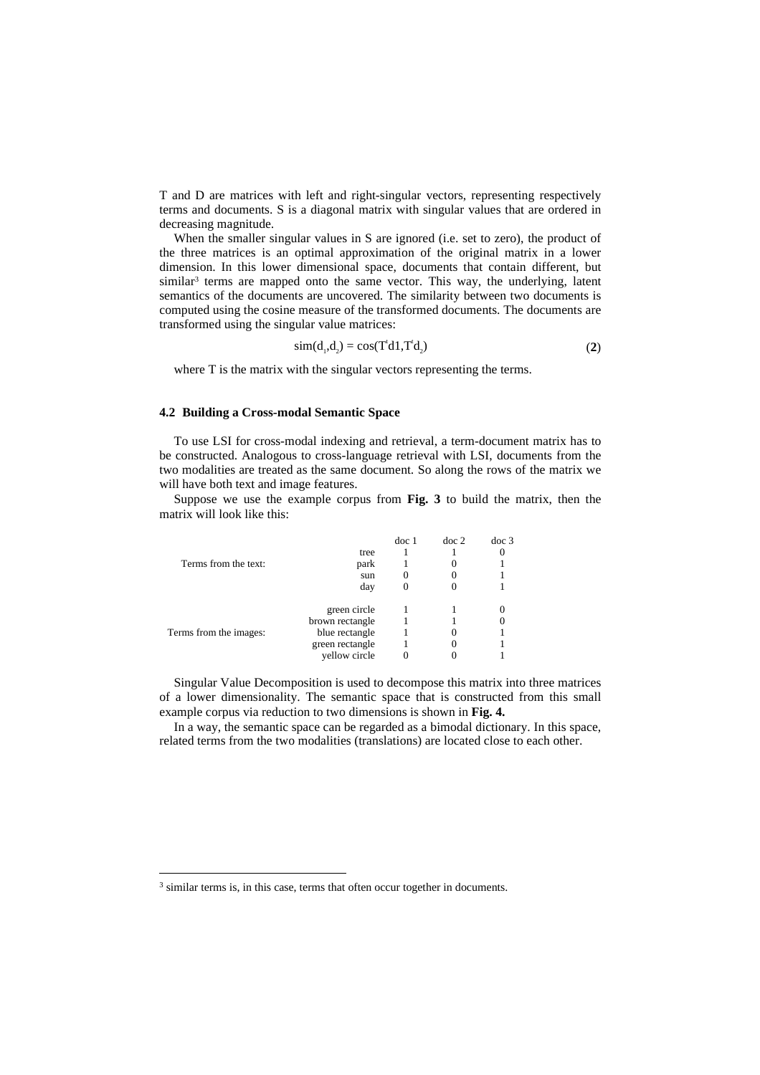T and D are matrices with left and right-singular vectors, representing respectively terms and documents. S is a diagonal matrix with singular values that are ordered in decreasing magnitude.

When the smaller singular values in S are ignored (i.e. set to zero), the product of the three matrices is an optimal approximation of the original matrix in a lower dimension. In this lower dimensional space, documents that contain different, but similar<sup>3</sup> terms are mapped onto the same vector. This way, the underlying, latent semantics of the documents are uncovered. The similarity between two documents is computed using the cosine measure of the transformed documents. The documents are transformed using the singular value matrices:

$$
sim(d1, d2) = cos(Tt d1, Tt d2)
$$
\n(2)

where T is the matrix with the singular vectors representing the terms.

# **4.2 Building a Cross-modal Semantic Space**

To use LSI for cross-modal indexing and retrieval, a term-document matrix has to be constructed. Analogous to cross-language retrieval with LSI, documents from the two modalities are treated as the same document. So along the rows of the matrix we will have both text and image features.

Suppose we use the example corpus from **Fig. 3** to build the matrix, then the matrix will look like this:

|                        |                 | doc <sub>1</sub> | doc <sub>2</sub> | doc <sub>3</sub> |
|------------------------|-----------------|------------------|------------------|------------------|
|                        | tree            |                  |                  |                  |
| Terms from the text:   | park            |                  |                  |                  |
|                        | sun             |                  |                  |                  |
|                        | day             |                  |                  |                  |
|                        | green circle    |                  |                  |                  |
|                        | brown rectangle |                  |                  |                  |
| Terms from the images: | blue rectangle  |                  |                  |                  |
|                        | green rectangle |                  |                  |                  |
|                        | vellow circle   |                  |                  |                  |

Singular Value Decomposition is used to decompose this matrix into three matrices of a lower dimensionality. The semantic space that is constructed from this small example corpus via reduction to two dimensions is shown in **Fig. 4.**

In a way, the semantic space can be regarded as a bimodal dictionary. In this space, related terms from the two modalities (translations) are located close to each other.

-

<sup>&</sup>lt;sup>3</sup> similar terms is, in this case, terms that often occur together in documents.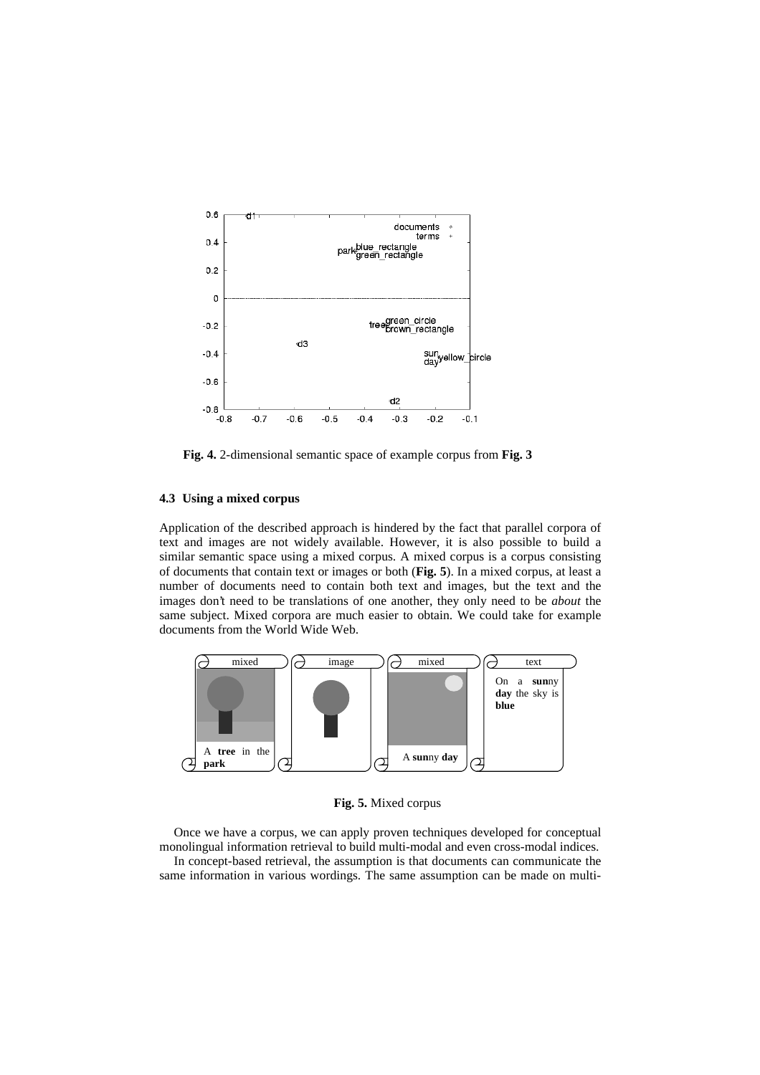

**Fig. 4.** 2-dimensional semantic space of example corpus from **Fig. 3**

# **4.3 Using a mixed corpus**

Application of the described approach is hindered by the fact that parallel corpora of text and images are not widely available. However, it is also possible to build a similar semantic space using a mixed corpus. A mixed corpus is a corpus consisting of documents that contain text or images or both (**Fig. 5**). In a mixed corpus, at least a number of documents need to contain both text and images, but the text and the images don't need to be translations of one another, they only need to be *about* the same subject. Mixed corpora are much easier to obtain. We could take for example documents from the World Wide Web.



**Fig. 5.** Mixed corpus

Once we have a corpus, we can apply proven techniques developed for conceptual monolingual information retrieval to build multi-modal and even cross-modal indices. In concept-based retrieval, the assumption is that documents can communicate the same information in various wordings. The same assumption can be made on multi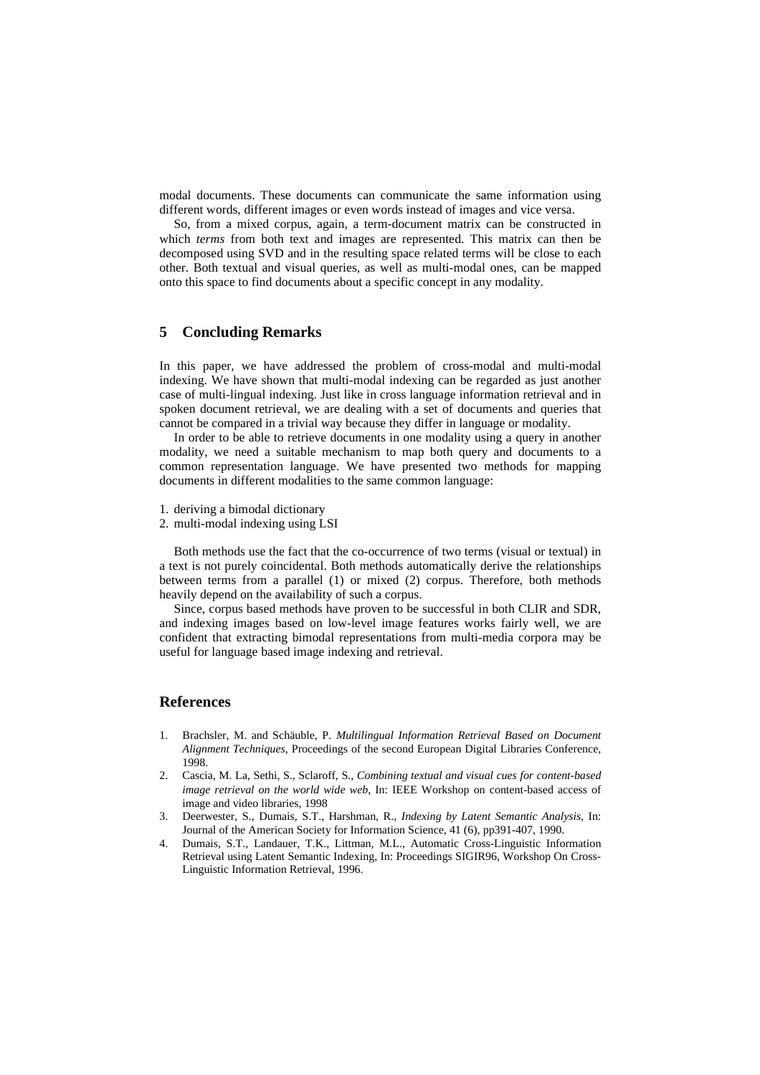modal documents. These documents can communicate the same information using different words, different images or even words instead of images and vice versa.

So, from a mixed corpus, again, a term-document matrix can be constructed in which *terms* from both text and images are represented. This matrix can then be decomposed using SVD and in the resulting space related terms will be close to each other. Both textual and visual queries, as well as multi-modal ones, can be mapped onto this space to find documents about a specific concept in any modality.

# **5 Concluding Remarks**

In this paper, we have addressed the problem of cross-modal and multi-modal indexing. We have shown that multi-modal indexing can be regarded as just another case of multi-lingual indexing. Just like in cross language information retrieval and in spoken document retrieval, we are dealing with a set of documents and queries that cannot be compared in a trivial way because they differ in language or modality.

In order to be able to retrieve documents in one modality using a query in another modality, we need a suitable mechanism to map both query and documents to a common representation language. We have presented two methods for mapping documents in different modalities to the same common language:

- 1. deriving a bimodal dictionary
- 2. multi-modal indexing using LSI

Both methods use the fact that the co-occurrence of two terms (visual or textual) in a text is not purely coincidental. Both methods automatically derive the relationships between terms from a parallel (1) or mixed (2) corpus. Therefore, both methods heavily depend on the availability of such a corpus.

Since, corpus based methods have proven to be successful in both CLIR and SDR, and indexing images based on low-level image features works fairly well, we are confident that extracting bimodal representations from multi-media corpora may be useful for language based image indexing and retrieval.

# **References**

- 1. Brachsler, M. and Schäuble, P. *Multilingual Information Retrieval Based on Document Alignment Techniques*, Proceedings of the second European Digital Libraries Conference, 1998.
- 2. Cascia, M. La, Sethi, S., Sclaroff, S., *Combining textual and visual cues for content-based image retrieval on the world wide web*, In: IEEE Workshop on content-based access of image and video libraries, 1998
- 3. Deerwester, S., Dumais, S.T., Harshman, R., *Indexing by Latent Semantic Analysis*, In: Journal of the American Society for Information Science, 41 (6), pp391-407, 1990.
- 4. Dumais, S.T., Landauer, T.K., Littman, M.L., Automatic Cross-Linguistic Information Retrieval using Latent Semantic Indexing, In: Proceedings SIGIR96, Workshop On Cross-Linguistic Information Retrieval, 1996.